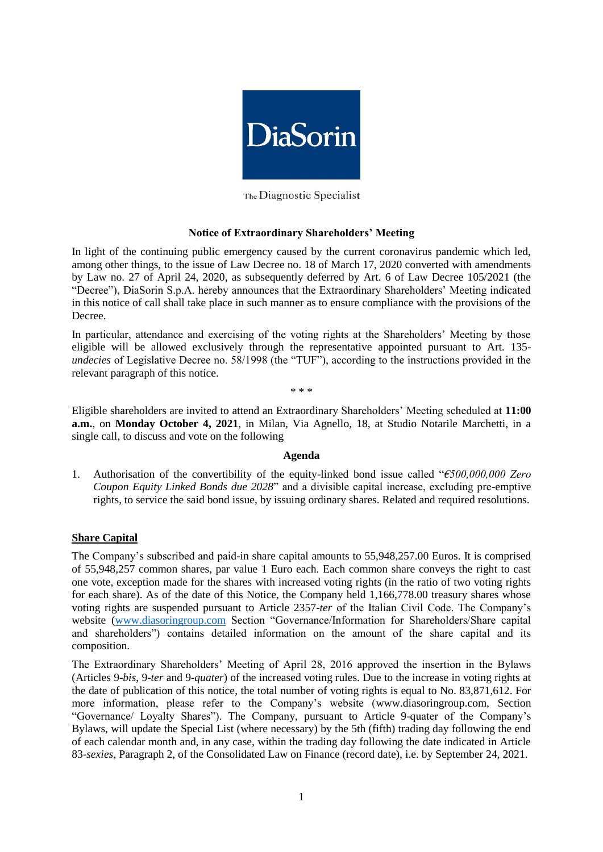

The Diagnostic Specialist

### **Notice of Extraordinary Shareholders' Meeting**

In light of the continuing public emergency caused by the current coronavirus pandemic which led, among other things, to the issue of Law Decree no. 18 of March 17, 2020 converted with amendments by Law no. 27 of April 24, 2020, as subsequently deferred by Art. 6 of Law Decree 105/2021 (the "Decree"), DiaSorin S.p.A. hereby announces that the Extraordinary Shareholders' Meeting indicated in this notice of call shall take place in such manner as to ensure compliance with the provisions of the Decree.

In particular, attendance and exercising of the voting rights at the Shareholders' Meeting by those eligible will be allowed exclusively through the representative appointed pursuant to Art. 135 *undecies* of Legislative Decree no. 58/1998 (the "TUF"), according to the instructions provided in the relevant paragraph of this notice.

\* \* \*

Eligible shareholders are invited to attend an Extraordinary Shareholders' Meeting scheduled at **11:00 a.m.**, on **Monday October 4, 2021**, in Milan, Via Agnello, 18, at Studio Notarile Marchetti, in a single call, to discuss and vote on the following

#### **Agenda**

1. Authorisation of the convertibility of the equity-linked bond issue called "*€500,000,000 Zero Coupon Equity Linked Bonds due 2028*" and a divisible capital increase, excluding pre-emptive rights, to service the said bond issue, by issuing ordinary shares. Related and required resolutions.

## **Share Capital**

The Company's subscribed and paid-in share capital amounts to 55,948,257.00 Euros. It is comprised of 55,948,257 common shares, par value 1 Euro each. Each common share conveys the right to cast one vote, exception made for the shares with increased voting rights (in the ratio of two voting rights for each share). As of the date of this Notice, the Company held 1,166,778.00 treasury shares whose voting rights are suspended pursuant to Article 2357-*ter* of the Italian Civil Code. The Company's website [\(www.diasoringroup.com](file:///C:/Users/vgvc/Downloads/www.diasoringroup.com) Section "Governance/Information for Shareholders/Share capital and shareholders") contains detailed information on the amount of the share capital and its composition.

The Extraordinary Shareholders' Meeting of April 28, 2016 approved the insertion in the Bylaws (Articles 9-*bis*, 9-*ter* and 9-*quater*) of the increased voting rules. Due to the increase in voting rights at the date of publication of this notice, the total number of voting rights is equal to No. 83,871,612. For more information, please refer to the Company's website [\(www.diasoringroup.com,](file:///C:/Users/vgvc/Downloads/www.diasoringroup.com) Section "Governance/ Loyalty Shares"). The Company, pursuant to Article 9-quater of the Company's Bylaws, will update the Special List (where necessary) by the 5th (fifth) trading day following the end of each calendar month and, in any case, within the trading day following the date indicated in Article 83-*sexies*, Paragraph 2, of the Consolidated Law on Finance (record date), i.e. by September 24, 2021.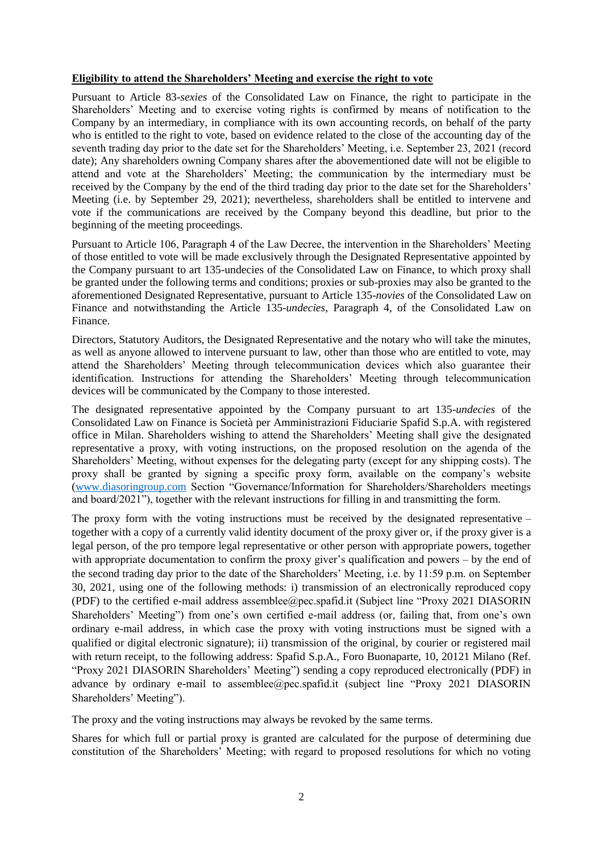### **Eligibility to attend the Shareholders' Meeting and exercise the right to vote**

Pursuant to Article 83-*sexies* of the Consolidated Law on Finance, the right to participate in the Shareholders' Meeting and to exercise voting rights is confirmed by means of notification to the Company by an intermediary, in compliance with its own accounting records, on behalf of the party who is entitled to the right to vote, based on evidence related to the close of the accounting day of the seventh trading day prior to the date set for the Shareholders' Meeting, i.e. September 23, 2021 (record date); Any shareholders owning Company shares after the abovementioned date will not be eligible to attend and vote at the Shareholders' Meeting; the communication by the intermediary must be received by the Company by the end of the third trading day prior to the date set for the Shareholders' Meeting (i.e. by September 29, 2021); nevertheless, shareholders shall be entitled to intervene and vote if the communications are received by the Company beyond this deadline, but prior to the beginning of the meeting proceedings.

Pursuant to Article 106, Paragraph 4 of the Law Decree, the intervention in the Shareholders' Meeting of those entitled to vote will be made exclusively through the Designated Representative appointed by the Company pursuant to art 135-undecies of the Consolidated Law on Finance, to which proxy shall be granted under the following terms and conditions; proxies or sub-proxies may also be granted to the aforementioned Designated Representative, pursuant to Article 135-*novies* of the Consolidated Law on Finance and notwithstanding the Article 135-*undecies*, Paragraph 4, of the Consolidated Law on Finance.

Directors, Statutory Auditors, the Designated Representative and the notary who will take the minutes, as well as anyone allowed to intervene pursuant to law, other than those who are entitled to vote, may attend the Shareholders' Meeting through telecommunication devices which also guarantee their identification. Instructions for attending the Shareholders' Meeting through telecommunication devices will be communicated by the Company to those interested.

The designated representative appointed by the Company pursuant to art 135-*undecies* of the Consolidated Law on Finance is Società per Amministrazioni Fiduciarie Spafid S.p.A. with registered office in Milan. Shareholders wishing to attend the Shareholders' Meeting shall give the designated representative a proxy, with voting instructions, on the proposed resolution on the agenda of the Shareholders' Meeting, without expenses for the delegating party (except for any shipping costs). The proxy shall be granted by signing a specific proxy form, available on the company's website [\(www.diasoringroup.com](http://www.diasoringroup.com/) Section "Governance/Information for Shareholders/Shareholders meetings and board/2021"), together with the relevant instructions for filling in and transmitting the form.

The proxy form with the voting instructions must be received by the designated representative – together with a copy of a currently valid identity document of the proxy giver or, if the proxy giver is a legal person, of the pro tempore legal representative or other person with appropriate powers, together with appropriate documentation to confirm the proxy giver's qualification and powers – by the end of the second trading day prior to the date of the Shareholders' Meeting, i.e. by 11:59 p.m. on September 30, 2021, using one of the following methods: i) transmission of an electronically reproduced copy (PDF) to the certified e-mail address assemblee@pec.spafid.it (Subject line "Proxy 2021 DIASORIN Shareholders' Meeting") from one's own certified e-mail address (or, failing that, from one's own ordinary e-mail address, in which case the proxy with voting instructions must be signed with a qualified or digital electronic signature); ii) transmission of the original, by courier or registered mail with return receipt, to the following address: Spafid S.p.A., Foro Buonaparte, 10, 20121 Milano (Ref. "Proxy 2021 DIASORIN Shareholders' Meeting") sending a copy reproduced electronically (PDF) in advance by ordinary e-mail to assemblee@pec.spafid.it (subject line "Proxy 2021 DIASORIN Shareholders' Meeting").

The proxy and the voting instructions may always be revoked by the same terms.

Shares for which full or partial proxy is granted are calculated for the purpose of determining due constitution of the Shareholders' Meeting; with regard to proposed resolutions for which no voting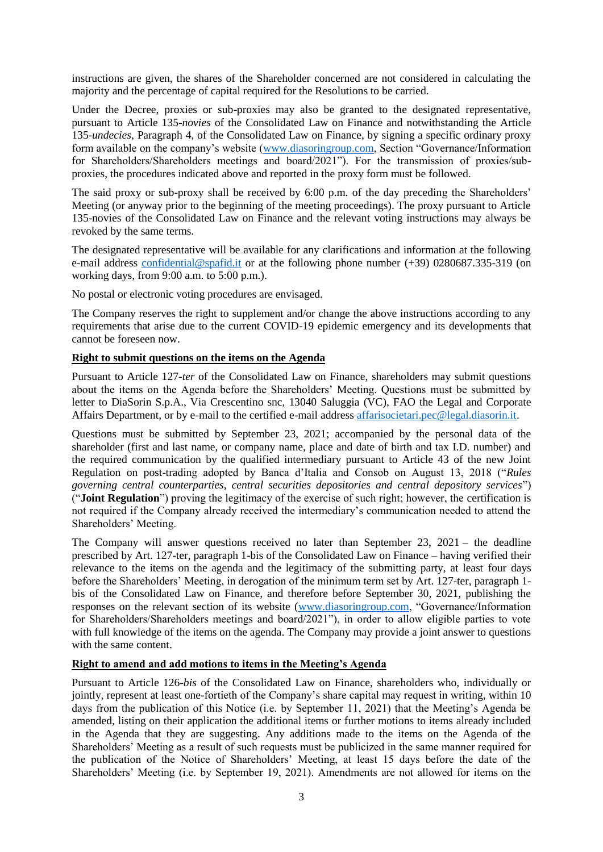instructions are given, the shares of the Shareholder concerned are not considered in calculating the majority and the percentage of capital required for the Resolutions to be carried.

Under the Decree, proxies or sub-proxies may also be granted to the designated representative, pursuant to Article 135-*novies* of the Consolidated Law on Finance and notwithstanding the Article 135-*undecies*, Paragraph 4, of the Consolidated Law on Finance, by signing a specific ordinary proxy form available on the company's website [\(www.diasoringroup.com,](http://www.diasoringroup.com/) Section "Governance/Information for Shareholders/Shareholders meetings and board/2021"). For the transmission of proxies/subproxies, the procedures indicated above and reported in the proxy form must be followed.

The said proxy or sub-proxy shall be received by 6:00 p.m. of the day preceding the Shareholders' Meeting (or anyway prior to the beginning of the meeting proceedings). The proxy pursuant to Article 135-novies of the Consolidated Law on Finance and the relevant voting instructions may always be revoked by the same terms.

The designated representative will be available for any clarifications and information at the following e-mail address [confidential@spafid.it](mailto:confidential@spafid.it) or at the following phone number (+39) 0280687.335-319 (on working days, from 9:00 a.m. to 5:00 p.m.).

No postal or electronic voting procedures are envisaged.

The Company reserves the right to supplement and/or change the above instructions according to any requirements that arise due to the current COVID-19 epidemic emergency and its developments that cannot be foreseen now.

### **Right to submit questions on the items on the Agenda**

Pursuant to Article 127*-ter* of the Consolidated Law on Finance, shareholders may submit questions about the items on the Agenda before the Shareholders' Meeting. Questions must be submitted by letter to DiaSorin S.p.A., Via Crescentino snc, 13040 Saluggia (VC), FAO the Legal and Corporate Affairs Department, or by e-mail to the certified e-mail address [affarisocietari.pec@legal.diasorin.it.](file:///C:/Users/vgvc/Downloads/affarisocietari.pec@legal.diasorin.it)

Questions must be submitted by September 23, 2021; accompanied by the personal data of the shareholder (first and last name, or company name, place and date of birth and tax I.D. number) and the required communication by the qualified intermediary pursuant to Article 43 of the new Joint Regulation on post-trading adopted by Banca d'Italia and Consob on August 13, 2018 ("*Rules governing central counterparties, central securities depositories and central depository services*") ("**Joint Regulation**") proving the legitimacy of the exercise of such right; however, the certification is not required if the Company already received the intermediary's communication needed to attend the Shareholders' Meeting.

The Company will answer questions received no later than September 23,  $2021 -$  the deadline prescribed by Art. 127-ter, paragraph 1-bis of the Consolidated Law on Finance – having verified their relevance to the items on the agenda and the legitimacy of the submitting party, at least four days before the Shareholders' Meeting, in derogation of the minimum term set by Art. 127-ter, paragraph 1 bis of the Consolidated Law on Finance, and therefore before September 30, 2021, publishing the responses on the relevant section of its website [\(www.diasoringroup.com,](file:///C:/Users/vgvc/Downloads/www.diasoringroup.com) "Governance/Information for Shareholders/Shareholders meetings and board/2021"), in order to allow eligible parties to vote with full knowledge of the items on the agenda. The Company may provide a joint answer to questions with the same content.

# **Right to amend and add motions to items in the Meeting's Agenda**

Pursuant to Article 126-*bis* of the Consolidated Law on Finance, shareholders who, individually or jointly, represent at least one-fortieth of the Company's share capital may request in writing, within 10 days from the publication of this Notice (i.e. by September 11, 2021) that the Meeting's Agenda be amended, listing on their application the additional items or further motions to items already included in the Agenda that they are suggesting. Any additions made to the items on the Agenda of the Shareholders' Meeting as a result of such requests must be publicized in the same manner required for the publication of the Notice of Shareholders' Meeting, at least 15 days before the date of the Shareholders' Meeting (i.e. by September 19, 2021). Amendments are not allowed for items on the